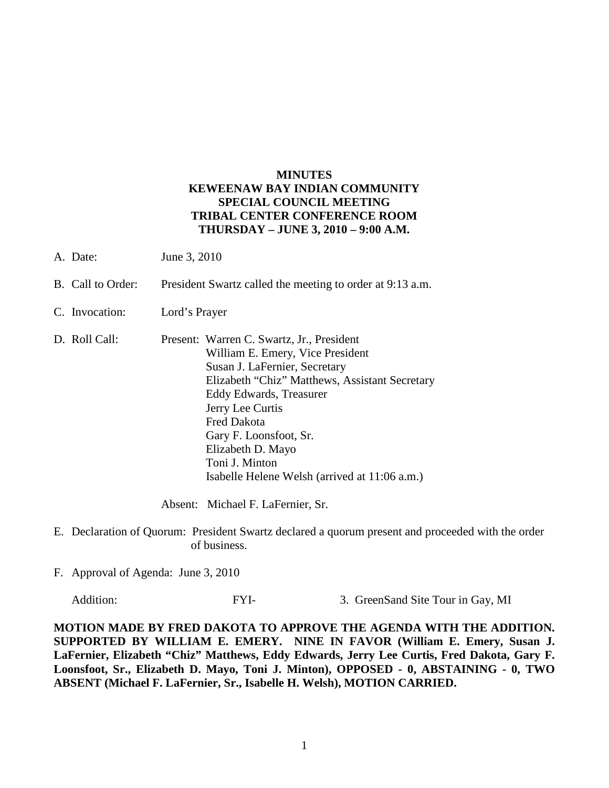## **MINUTES KEWEENAW BAY INDIAN COMMUNITY SPECIAL COUNCIL MEETING TRIBAL CENTER CONFERENCE ROOM THURSDAY – JUNE 3, 2010 – 9:00 A.M.**

- A. Date: June 3, 2010
- B. Call to Order: President Swartz called the meeting to order at 9:13 a.m.
- C. Invocation: Lord's Prayer
- D. Roll Call: Present: Warren C. Swartz, Jr., President William E. Emery, Vice President Susan J. LaFernier, Secretary Elizabeth "Chiz" Matthews, Assistant Secretary Eddy Edwards, Treasurer Jerry Lee Curtis Fred Dakota Gary F. Loonsfoot, Sr. Elizabeth D. Mayo Toni J. Minton Isabelle Helene Welsh (arrived at 11:06 a.m.)

Absent: Michael F. LaFernier, Sr.

- E. Declaration of Quorum: President Swartz declared a quorum present and proceeded with the order of business.
- F. Approval of Agenda: June 3, 2010

Addition: FYI- 3. GreenSand Site Tour in Gay, MI

**MOTION MADE BY FRED DAKOTA TO APPROVE THE AGENDA WITH THE ADDITION. SUPPORTED BY WILLIAM E. EMERY. NINE IN FAVOR (William E. Emery, Susan J. LaFernier, Elizabeth "Chiz" Matthews, Eddy Edwards, Jerry Lee Curtis, Fred Dakota, Gary F. Loonsfoot, Sr., Elizabeth D. Mayo, Toni J. Minton), OPPOSED - 0, ABSTAINING - 0, TWO ABSENT (Michael F. LaFernier, Sr., Isabelle H. Welsh), MOTION CARRIED.**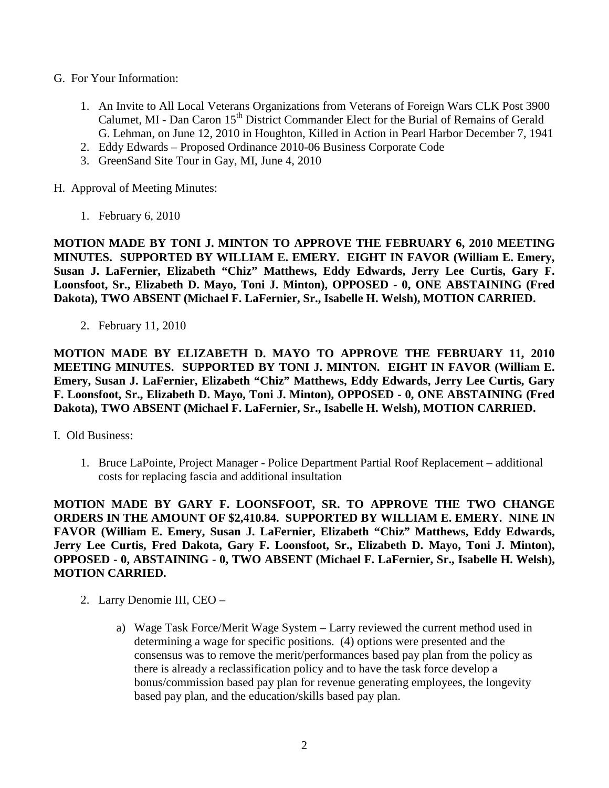- G. For Your Information:
	- 1. An Invite to All Local Veterans Organizations from Veterans of Foreign Wars CLK Post 3900 Calumet, MI - Dan Caron 15<sup>th</sup> District Commander Elect for the Burial of Remains of Gerald G. Lehman, on June 12, 2010 in Houghton, Killed in Action in Pearl Harbor December 7, 1941
	- 2. Eddy Edwards Proposed Ordinance 2010-06 Business Corporate Code
	- 3. GreenSand Site Tour in Gay, MI, June 4, 2010
- H. Approval of Meeting Minutes:
	- 1. February 6, 2010

**MOTION MADE BY TONI J. MINTON TO APPROVE THE FEBRUARY 6, 2010 MEETING MINUTES. SUPPORTED BY WILLIAM E. EMERY. EIGHT IN FAVOR (William E. Emery, Susan J. LaFernier, Elizabeth "Chiz" Matthews, Eddy Edwards, Jerry Lee Curtis, Gary F. Loonsfoot, Sr., Elizabeth D. Mayo, Toni J. Minton), OPPOSED - 0, ONE ABSTAINING (Fred Dakota), TWO ABSENT (Michael F. LaFernier, Sr., Isabelle H. Welsh), MOTION CARRIED.** 

2. February 11, 2010

**MOTION MADE BY ELIZABETH D. MAYO TO APPROVE THE FEBRUARY 11, 2010 MEETING MINUTES. SUPPORTED BY TONI J. MINTON. EIGHT IN FAVOR (William E. Emery, Susan J. LaFernier, Elizabeth "Chiz" Matthews, Eddy Edwards, Jerry Lee Curtis, Gary F. Loonsfoot, Sr., Elizabeth D. Mayo, Toni J. Minton), OPPOSED - 0, ONE ABSTAINING (Fred Dakota), TWO ABSENT (Michael F. LaFernier, Sr., Isabelle H. Welsh), MOTION CARRIED.**

- I. Old Business:
	- 1. Bruce LaPointe, Project Manager Police Department Partial Roof Replacement additional costs for replacing fascia and additional insultation

**MOTION MADE BY GARY F. LOONSFOOT, SR. TO APPROVE THE TWO CHANGE ORDERS IN THE AMOUNT OF \$2,410.84. SUPPORTED BY WILLIAM E. EMERY. NINE IN FAVOR (William E. Emery, Susan J. LaFernier, Elizabeth "Chiz" Matthews, Eddy Edwards, Jerry Lee Curtis, Fred Dakota, Gary F. Loonsfoot, Sr., Elizabeth D. Mayo, Toni J. Minton), OPPOSED - 0, ABSTAINING - 0, TWO ABSENT (Michael F. LaFernier, Sr., Isabelle H. Welsh), MOTION CARRIED.**

- 2. Larry Denomie III, CEO
	- a) Wage Task Force/Merit Wage System Larry reviewed the current method used in determining a wage for specific positions. (4) options were presented and the consensus was to remove the merit/performances based pay plan from the policy as there is already a reclassification policy and to have the task force develop a bonus/commission based pay plan for revenue generating employees, the longevity based pay plan, and the education/skills based pay plan.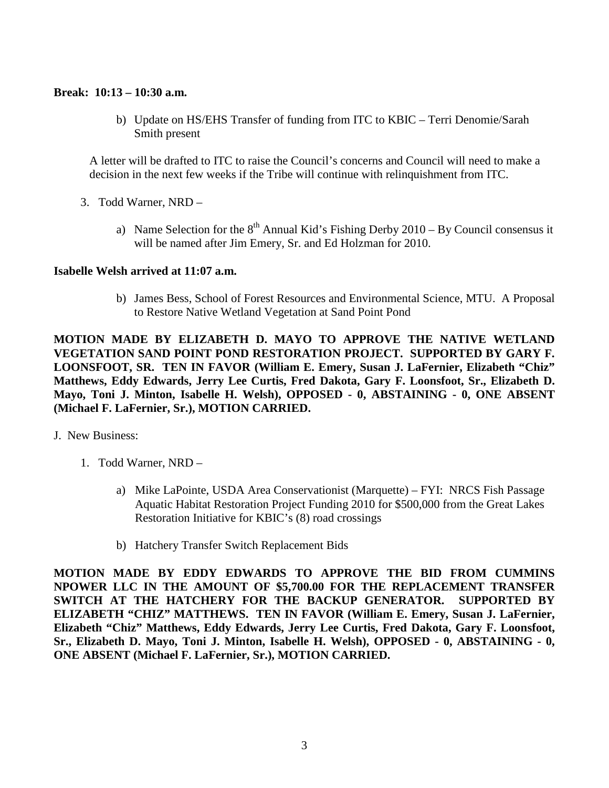## **Break: 10:13 – 10:30 a.m.**

b) Update on HS/EHS Transfer of funding from ITC to KBIC – Terri Denomie/Sarah Smith present

A letter will be drafted to ITC to raise the Council's concerns and Council will need to make a decision in the next few weeks if the Tribe will continue with relinquishment from ITC.

- 3. Todd Warner, NRD
	- a) Name Selection for the  $8<sup>th</sup>$  Annual Kid's Fishing Derby 2010 By Council consensus it will be named after Jim Emery, Sr. and Ed Holzman for 2010.

## **Isabelle Welsh arrived at 11:07 a.m.**

b) James Bess, School of Forest Resources and Environmental Science, MTU. A Proposal to Restore Native Wetland Vegetation at Sand Point Pond

**MOTION MADE BY ELIZABETH D. MAYO TO APPROVE THE NATIVE WETLAND VEGETATION SAND POINT POND RESTORATION PROJECT. SUPPORTED BY GARY F. LOONSFOOT, SR. TEN IN FAVOR (William E. Emery, Susan J. LaFernier, Elizabeth "Chiz" Matthews, Eddy Edwards, Jerry Lee Curtis, Fred Dakota, Gary F. Loonsfoot, Sr., Elizabeth D. Mayo, Toni J. Minton, Isabelle H. Welsh), OPPOSED - 0, ABSTAINING - 0, ONE ABSENT (Michael F. LaFernier, Sr.), MOTION CARRIED.**

- J. New Business:
	- 1. Todd Warner, NRD
		- a) Mike LaPointe, USDA Area Conservationist (Marquette) FYI: NRCS Fish Passage Aquatic Habitat Restoration Project Funding 2010 for \$500,000 from the Great Lakes Restoration Initiative for KBIC's (8) road crossings
		- b) Hatchery Transfer Switch Replacement Bids

**MOTION MADE BY EDDY EDWARDS TO APPROVE THE BID FROM CUMMINS NPOWER LLC IN THE AMOUNT OF \$5,700.00 FOR THE REPLACEMENT TRANSFER SWITCH AT THE HATCHERY FOR THE BACKUP GENERATOR. SUPPORTED BY ELIZABETH "CHIZ" MATTHEWS. TEN IN FAVOR (William E. Emery, Susan J. LaFernier, Elizabeth "Chiz" Matthews, Eddy Edwards, Jerry Lee Curtis, Fred Dakota, Gary F. Loonsfoot, Sr., Elizabeth D. Mayo, Toni J. Minton, Isabelle H. Welsh), OPPOSED - 0, ABSTAINING - 0, ONE ABSENT (Michael F. LaFernier, Sr.), MOTION CARRIED.**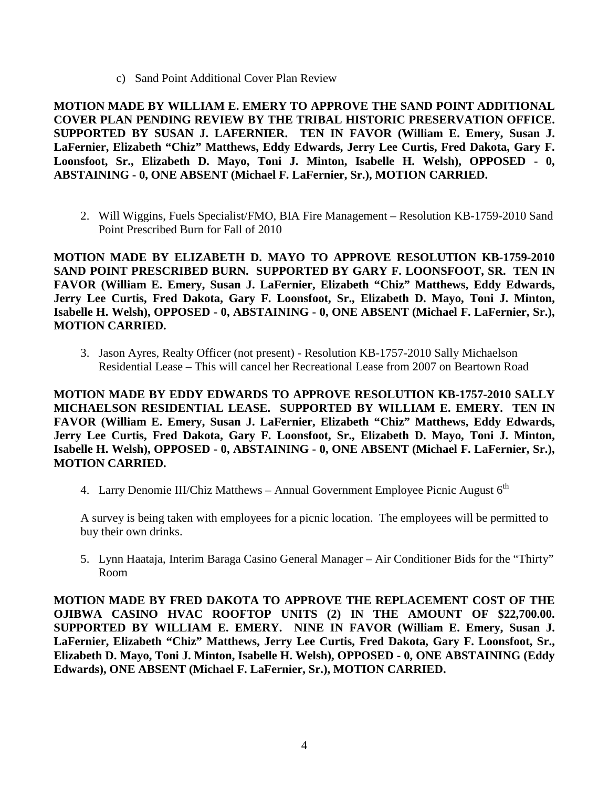c) Sand Point Additional Cover Plan Review

**MOTION MADE BY WILLIAM E. EMERY TO APPROVE THE SAND POINT ADDITIONAL COVER PLAN PENDING REVIEW BY THE TRIBAL HISTORIC PRESERVATION OFFICE. SUPPORTED BY SUSAN J. LAFERNIER. TEN IN FAVOR (William E. Emery, Susan J. LaFernier, Elizabeth "Chiz" Matthews, Eddy Edwards, Jerry Lee Curtis, Fred Dakota, Gary F. Loonsfoot, Sr., Elizabeth D. Mayo, Toni J. Minton, Isabelle H. Welsh), OPPOSED - 0, ABSTAINING - 0, ONE ABSENT (Michael F. LaFernier, Sr.), MOTION CARRIED.**

2. Will Wiggins, Fuels Specialist/FMO, BIA Fire Management – Resolution KB-1759-2010 Sand Point Prescribed Burn for Fall of 2010

**MOTION MADE BY ELIZABETH D. MAYO TO APPROVE RESOLUTION KB-1759-2010 SAND POINT PRESCRIBED BURN. SUPPORTED BY GARY F. LOONSFOOT, SR. TEN IN FAVOR (William E. Emery, Susan J. LaFernier, Elizabeth "Chiz" Matthews, Eddy Edwards, Jerry Lee Curtis, Fred Dakota, Gary F. Loonsfoot, Sr., Elizabeth D. Mayo, Toni J. Minton, Isabelle H. Welsh), OPPOSED - 0, ABSTAINING - 0, ONE ABSENT (Michael F. LaFernier, Sr.), MOTION CARRIED.**

3. Jason Ayres, Realty Officer (not present) - Resolution KB-1757-2010 Sally Michaelson Residential Lease – This will cancel her Recreational Lease from 2007 on Beartown Road

**MOTION MADE BY EDDY EDWARDS TO APPROVE RESOLUTION KB-1757-2010 SALLY MICHAELSON RESIDENTIAL LEASE. SUPPORTED BY WILLIAM E. EMERY. TEN IN FAVOR (William E. Emery, Susan J. LaFernier, Elizabeth "Chiz" Matthews, Eddy Edwards, Jerry Lee Curtis, Fred Dakota, Gary F. Loonsfoot, Sr., Elizabeth D. Mayo, Toni J. Minton, Isabelle H. Welsh), OPPOSED - 0, ABSTAINING - 0, ONE ABSENT (Michael F. LaFernier, Sr.), MOTION CARRIED.**

4. Larry Denomie III/Chiz Matthews – Annual Government Employee Picnic August  $6<sup>th</sup>$ 

A survey is being taken with employees for a picnic location. The employees will be permitted to buy their own drinks.

5. Lynn Haataja, Interim Baraga Casino General Manager – Air Conditioner Bids for the "Thirty" Room

**MOTION MADE BY FRED DAKOTA TO APPROVE THE REPLACEMENT COST OF THE OJIBWA CASINO HVAC ROOFTOP UNITS (2) IN THE AMOUNT OF \$22,700.00. SUPPORTED BY WILLIAM E. EMERY. NINE IN FAVOR (William E. Emery, Susan J. LaFernier, Elizabeth "Chiz" Matthews, Jerry Lee Curtis, Fred Dakota, Gary F. Loonsfoot, Sr., Elizabeth D. Mayo, Toni J. Minton, Isabelle H. Welsh), OPPOSED - 0, ONE ABSTAINING (Eddy Edwards), ONE ABSENT (Michael F. LaFernier, Sr.), MOTION CARRIED.**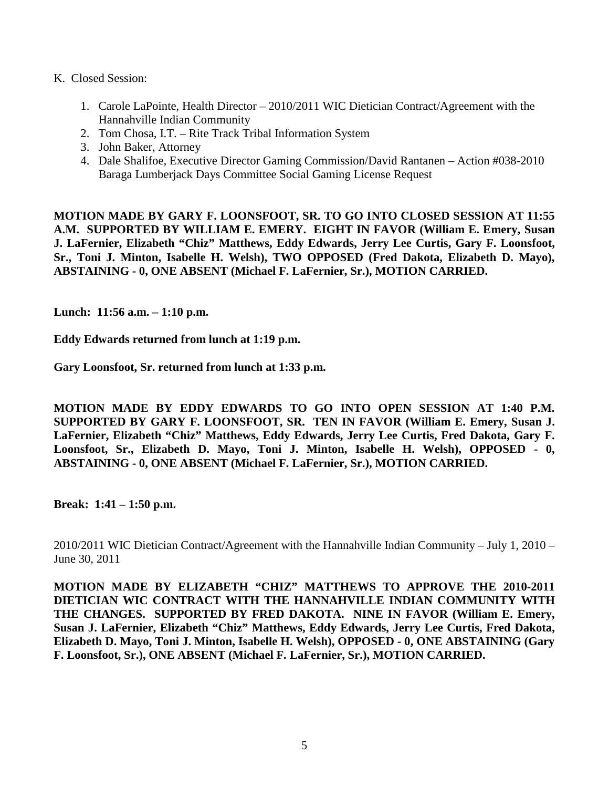- K. Closed Session:
	- 1. Carole LaPointe, Health Director 2010/2011 WIC Dietician Contract/Agreement with the Hannahville Indian Community
	- 2. Tom Chosa, I.T. Rite Track Tribal Information System
	- 3. John Baker, Attorney
	- 4. Dale Shalifoe, Executive Director Gaming Commission/David Rantanen Action #038-2010 Baraga Lumberjack Days Committee Social Gaming License Request

**MOTION MADE BY GARY F. LOONSFOOT, SR. TO GO INTO CLOSED SESSION AT 11:55 A.M. SUPPORTED BY WILLIAM E. EMERY. EIGHT IN FAVOR (William E. Emery, Susan J. LaFernier, Elizabeth "Chiz" Matthews, Eddy Edwards, Jerry Lee Curtis, Gary F. Loonsfoot, Sr., Toni J. Minton, Isabelle H. Welsh), TWO OPPOSED (Fred Dakota, Elizabeth D. Mayo), ABSTAINING - 0, ONE ABSENT (Michael F. LaFernier, Sr.), MOTION CARRIED.**

**Lunch: 11:56 a.m. – 1:10 p.m.** 

**Eddy Edwards returned from lunch at 1:19 p.m.**

**Gary Loonsfoot, Sr. returned from lunch at 1:33 p.m.** 

**MOTION MADE BY EDDY EDWARDS TO GO INTO OPEN SESSION AT 1:40 P.M. SUPPORTED BY GARY F. LOONSFOOT, SR. TEN IN FAVOR (William E. Emery, Susan J. LaFernier, Elizabeth "Chiz" Matthews, Eddy Edwards, Jerry Lee Curtis, Fred Dakota, Gary F. Loonsfoot, Sr., Elizabeth D. Mayo, Toni J. Minton, Isabelle H. Welsh), OPPOSED - 0, ABSTAINING - 0, ONE ABSENT (Michael F. LaFernier, Sr.), MOTION CARRIED.**

**Break: 1:41 – 1:50 p.m.** 

2010/2011 WIC Dietician Contract/Agreement with the Hannahville Indian Community – July 1, 2010 – June 30, 2011

**MOTION MADE BY ELIZABETH "CHIZ" MATTHEWS TO APPROVE THE 2010-2011 DIETICIAN WIC CONTRACT WITH THE HANNAHVILLE INDIAN COMMUNITY WITH THE CHANGES. SUPPORTED BY FRED DAKOTA. NINE IN FAVOR (William E. Emery, Susan J. LaFernier, Elizabeth "Chiz" Matthews, Eddy Edwards, Jerry Lee Curtis, Fred Dakota, Elizabeth D. Mayo, Toni J. Minton, Isabelle H. Welsh), OPPOSED - 0, ONE ABSTAINING (Gary F. Loonsfoot, Sr.), ONE ABSENT (Michael F. LaFernier, Sr.), MOTION CARRIED.**